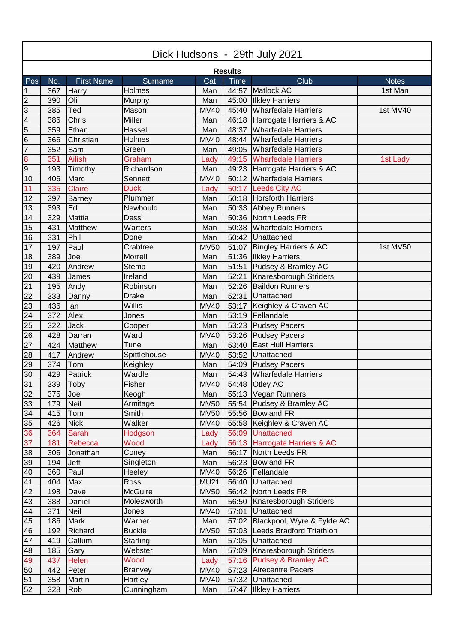| Dick Hudsons - 29th July 2021 |     |                   |                |             |       |                                |              |  |  |
|-------------------------------|-----|-------------------|----------------|-------------|-------|--------------------------------|--------------|--|--|
| <b>Results</b>                |     |                   |                |             |       |                                |              |  |  |
| Pos                           | No. | <b>First Name</b> | Surname        | Cat         | Time  | Club                           | <b>Notes</b> |  |  |
| $\mathbf 1$                   | 367 | Harry             | Holmes         | Man         | 44:57 | Matlock AC                     | 1st Man      |  |  |
| 2                             | 390 | Oli               | Murphy         | Man         | 45:00 | <b>Ilkley Harriers</b>         |              |  |  |
| ပြ                            | 385 | Ted               | Mason          | <b>MV40</b> |       | 45:40 Wharfedale Harriers      | 1st MV40     |  |  |
| $\overline{4}$                | 386 | Chris             | Miller         | Man         |       | 46:18 Harrogate Harriers & AC  |              |  |  |
| $\overline{5}$                | 359 | Ethan             | Hassell        | Man         | 48:37 | <b>Wharfedale Harriers</b>     |              |  |  |
| $6\overline{6}$               | 366 | Christian         | Holmes         | <b>MV40</b> | 48:44 | <b>Wharfedale Harriers</b>     |              |  |  |
| $\overline{7}$                | 352 | Sam               | Green          | Man         |       | 49:05 Wharfedale Harriers      |              |  |  |
|                               | 351 | <b>Ailish</b>     | Graham         | Lady        |       | 49:15 Wharfedale Harriers      | 1st Lady     |  |  |
| $\frac{8}{9}$                 | 193 | Timothy           | Richardson     | Man         |       | 49:23 Harrogate Harriers & AC  |              |  |  |
| 10                            | 406 | Marc              | Sennett        | <b>MV40</b> |       | 50:12 Wharfedale Harriers      |              |  |  |
| 11                            | 335 | <b>Claire</b>     | <b>Duck</b>    | Lady        |       | 50:17 Leeds City AC            |              |  |  |
| 12                            | 397 | <b>Barney</b>     | Plummer        | Man         |       | 50:18 Horsforth Harriers       |              |  |  |
| 13                            | 393 | Ed                | Newbould       | Man         |       | 50:33 Abbey Runners            |              |  |  |
| 14                            | 329 | Mattia            | Dessì          | Man         |       | 50:36 North Leeds FR           |              |  |  |
| 15                            | 431 | Matthew           | Warters        | Man         | 50:38 | <b>Wharfedale Harriers</b>     |              |  |  |
| 16                            | 331 | Phil              | Done           | Man         | 50:42 | Unattached                     |              |  |  |
| 17                            | 197 | Paul              | Crabtree       | <b>MV50</b> | 51:07 | Bingley Harriers & AC          | 1st MV50     |  |  |
| 18                            | 389 | Joe               | Morrell        | Man         |       | 51:36 Ilkley Harriers          |              |  |  |
| 19                            | 420 | Andrew            | Stemp          | Man         | 51:51 | Pudsey & Bramley AC            |              |  |  |
| 20                            | 439 | James             | Ireland        | Man         | 52:21 | Knaresborough Striders         |              |  |  |
| 21                            | 195 | Andy              | Robinson       | Man         | 52:26 | <b>Baildon Runners</b>         |              |  |  |
| 22                            | 333 | Danny             | <b>Drake</b>   | Man         | 52:31 | Unattached                     |              |  |  |
| 23                            | 436 | lan               | Willis         | <b>MV40</b> | 53:17 | Keighley & Craven AC           |              |  |  |
| 24                            | 372 | Alex              | Jones          | Man         | 53:19 | Fellandale                     |              |  |  |
| 25                            | 322 | <b>Jack</b>       | Cooper         | Man         |       | 53:23 Pudsey Pacers            |              |  |  |
| 26                            | 428 | Darran            | Ward           | <b>MV40</b> |       | 53:26 Pudsey Pacers            |              |  |  |
| 27                            | 424 | Matthew           | Tune           | Man         | 53:40 | <b>East Hull Harriers</b>      |              |  |  |
| 28                            | 417 | Andrew            | Spittlehouse   | <b>MV40</b> | 53:52 | Unattached                     |              |  |  |
| 29                            | 374 | Tom               | Keighley       | Man         |       | 54:09 Pudsey Pacers            |              |  |  |
| 30                            | 429 | Patrick           | Wardle         | Man         |       | 54:43 Wharfedale Harriers      |              |  |  |
| 31                            | 339 | Toby              | Fisher         | <b>MV40</b> |       | 54:48 Otley AC                 |              |  |  |
| 32                            | 375 | Joe               | Keogh          | Man         |       | 55:13   Vegan Runners          |              |  |  |
| 33                            | 179 | Neil              | Armitage       | <b>MV50</b> |       | 55:54 Pudsey & Bramley AC      |              |  |  |
| 34                            | 415 | Tom               | Smith          | <b>MV50</b> |       | 55:56 Bowland FR               |              |  |  |
| 35                            | 426 | <b>Nick</b>       | Walker         | <b>MV40</b> |       | 55:58 Keighley & Craven AC     |              |  |  |
| 36                            | 364 | <b>Sarah</b>      | Hodgson        | Lady        |       | 56:09 Unattached               |              |  |  |
| 37                            | 181 | Rebecca           | Wood           | Lady        |       | 56:13 Harrogate Harriers & AC  |              |  |  |
| 38                            | 306 | Jonathan          | Coney          | Man         | 56:17 | North Leeds FR                 |              |  |  |
| 39                            | 194 | Jeff              | Singleton      | Man         | 56:23 | <b>Bowland FR</b>              |              |  |  |
| 40                            | 360 | Paul              | Heeley         | <b>MV40</b> |       | 56:26 Fellandale               |              |  |  |
| 41                            | 404 | Max               | Ross           | <b>MU21</b> | 56:40 | Unattached                     |              |  |  |
| 42                            | 198 | Dave              | <b>McGuire</b> | <b>MV50</b> |       | 56:42 North Leeds FR           |              |  |  |
| 43                            | 388 | Daniel            | Molesworth     | Man         |       | 56:50 Knaresborough Striders   |              |  |  |
| 44                            | 371 | Neil              | Jones          | <b>MV40</b> | 57:01 | Unattached                     |              |  |  |
| 45                            | 186 | <b>Mark</b>       | Warner         | Man         | 57:02 | Blackpool, Wyre & Fylde AC     |              |  |  |
| 46                            | 192 | Richard           | <b>Buckle</b>  | <b>MV50</b> |       | 57:03 Leeds Bradford Triathlon |              |  |  |
| 47                            | 419 | Callum            | Starling       | Man         |       | 57:05 Unattached               |              |  |  |
| 48                            | 185 | Gary              | Webster        | Man         |       | 57:09 Knaresborough Striders   |              |  |  |
| 49                            | 437 | Helen             | Wood           | Lady        |       | 57:16 Pudsey & Bramley AC      |              |  |  |
| 50                            | 442 | Peter             | <b>Branvey</b> | <b>MV40</b> |       | 57:23 Airecentre Pacers        |              |  |  |
| 51                            | 358 | Martin            | Hartley        | <b>MV40</b> |       | 57:32 Unattached               |              |  |  |
| 52                            | 328 | Rob               | Cunningham     | Man         |       | 57:47 Ilkley Harriers          |              |  |  |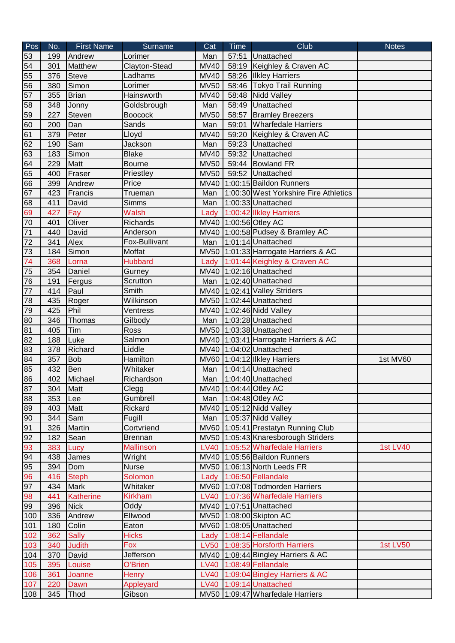| Pos             | No. | <b>First Name</b> | Surname          | Cat         | Time  | Club                                                   | <b>Notes</b>    |
|-----------------|-----|-------------------|------------------|-------------|-------|--------------------------------------------------------|-----------------|
| 53              | 199 | Andrew            | Lorimer          | Man         | 57:51 | Unattached                                             |                 |
| 54              | 301 | Matthew           | Clayton-Stead    | <b>MV40</b> |       | 58:19 Keighley & Craven AC                             |                 |
| 55              | 376 | <b>Steve</b>      | Ladhams          | <b>MV40</b> | 58:26 | <b>Ilkley Harriers</b>                                 |                 |
| 56              | 380 | Simon             | Lorimer          | <b>MV50</b> | 58:46 | Tokyo Trail Running                                    |                 |
| 57              | 355 | <b>Brian</b>      | Hainsworth       | <b>MV40</b> | 58:48 | Nidd Valley                                            |                 |
| 58              | 348 | Jonny             | Goldsbrough      | Man         | 58:49 | Unattached                                             |                 |
| 59              | 227 | Steven            | <b>Boocock</b>   | <b>MV50</b> | 58:57 | <b>Bramley Breezers</b>                                |                 |
| 60              | 200 | Dan               | Sands            | Man         | 59:01 | Wharfedale Harriers                                    |                 |
| 61              | 379 | Peter             | Lloyd            | <b>MV40</b> | 59:20 | Keighley & Craven AC                                   |                 |
| 62              | 190 | Sam               | Jackson          | Man         | 59:23 | Unattached                                             |                 |
| 63              | 183 | Simon             | <b>Blake</b>     | <b>MV40</b> | 59:32 | Unattached                                             |                 |
| 64              | 229 | Matt              | <b>Bourne</b>    | <b>MV50</b> |       | 59:44 Bowland FR                                       |                 |
| 65              | 400 | Fraser            | Priestley        | <b>MV50</b> |       | 59:52 Unattached                                       |                 |
| 66              | 399 | Andrew            | Price            |             |       | MV40 1:00:15 Baildon Runners                           |                 |
| 67              | 423 | Francis           | Trueman          | Man         |       | 1:00:30 West Yorkshire Fire Athletics                  |                 |
| 68              | 411 | David             | <b>Simms</b>     | Man         |       | 1:00:33 Unattached                                     |                 |
| 69              | 427 | Fay               | <b>Walsh</b>     | Lady        |       | 1:00:42 Ilkley Harriers                                |                 |
| 70              | 401 | Oliver            | Richards         |             |       | MV40 1:00:56 Otley AC                                  |                 |
| 71              | 440 | David             | Anderson         |             |       | MV40 1:00:58 Pudsey & Bramley AC                       |                 |
| 72              | 341 | Alex              | Fox-Bullivant    | Man         |       | 1:01:14 Unattached                                     |                 |
| 73              | 184 | Simon             | Moffat           |             |       | MV50 1:01:33 Harrogate Harriers & AC                   |                 |
| 74              | 368 | Lorna             | <b>Hubbard</b>   | Lady        |       | 1:01:44 Keighley & Craven AC                           |                 |
| 75              | 354 | Daniel            | Gurney           |             |       | MV40 1:02:16 Unattached                                |                 |
| 76              | 191 | Fergus            | Scrutton         | Man         |       | 1:02:40 Unattached                                     |                 |
| 77              | 414 | Paul              | Smith            |             |       | MV40 1:02:41 Valley Striders                           |                 |
| 78              | 435 | Roger             | Wilkinson        |             |       | MV50 1:02:44 Unattached                                |                 |
| 79              | 425 | Phil              | Ventress         |             |       | MV40 1:02:46 Nidd Valley                               |                 |
| 80              | 346 | Thomas            | Gilbody          | Man         |       | 1:03:28 Unattached                                     |                 |
| 81              | 405 | Tim               | Ross             |             |       | MV50 1:03:38 Unattached                                |                 |
| 82              | 188 | Luke              | Salmon           |             |       | MV40 1:03:41 Harrogate Harriers & AC                   |                 |
| 83              | 378 | Richard           | Liddle           |             |       | MV40 1:04:02 Unattached                                |                 |
| 84              | 357 | <b>Bob</b>        | Hamilton         |             |       | MV60 1:04:12 Ilkley Harriers                           | 1st MV60        |
| 85              | 432 | Ben               | Whitaker         | Man         |       | 1:04:14 Unattached                                     |                 |
| 86              | 402 | Michael           | Richardson       | Man         |       | 1:04:40 Unattached                                     |                 |
| $\frac{87}{88}$ | 304 | Matt              | Clegg            |             |       | MV40 1:04:44 Otley AC                                  |                 |
|                 | 353 | Lee               | Gumbrell         | Man         |       | $1:04:48$ Otley AC                                     |                 |
| 89              | 403 | Matt              | Rickard          |             |       | MV40 1:05:12 Nidd Valley                               |                 |
| 90              | 344 | Sam               | Fugill           |             |       | Man $\left  \frac{1:05:37}{\text{Nidd Value}} \right $ |                 |
| 91              | 326 | Martin            | Cortvriend       |             |       | MV60 1:05:41 Prestatyn Running Club                    |                 |
| 92              | 182 | Sean              | <b>Brennan</b>   |             |       | MV50 1:05:43 Knaresborough Striders                    |                 |
| 83              | 383 | Lucy              | <b>Mallinson</b> |             |       | LV40 1:05:52 Wharfedale Harriers                       | <b>1st LV40</b> |
| 94              | 438 | James             | Wright           |             |       | MV40 1:05:56 Baildon Runners                           |                 |
| 95              | 394 | Dom               | <b>Nurse</b>     |             |       | MV50 1:06:13 North Leeds FR                            |                 |
| 96              | 416 | <b>Steph</b>      | Solomon          |             |       | Lady 1:06:50 Fellandale                                |                 |
| 97              | 434 | Mark              | Whitaker         |             |       | MV60 1:07:08 Todmorden Harriers                        |                 |
| 98              | 441 | <b>Katherine</b>  | <b>Kirkham</b>   |             |       | LV40 1:07:36 Wharfedale Harriers                       |                 |
| 99              | 396 | <b>Nick</b>       | Oddy             |             |       | MV40 1:07:51 Unattached                                |                 |
| 100             | 336 | Andrew            | Ellwood          |             |       | MV50 1:08:00 Skipton AC                                |                 |
| 101             | 180 | Colin             | Eaton            |             |       | MV60 1:08:05 Unattached                                |                 |
| $102$           | 362 | <b>Sally</b>      | <b>Hicks</b>     |             |       | Lady 1:08:14 Fellandale                                |                 |
| 103             | 340 | <b>Judith</b>     | Fox              |             |       | LV50 1:08:35 Horsforth Harriers                        | <b>1st LV50</b> |
| 104             | 370 | David             | Jefferson        |             |       | MV40 1:08:44 Bingley Harriers & AC                     |                 |
| 105             | 395 | Louise            | O'Brien          |             |       | LV40 1:08:49 Fellandale                                |                 |
| 106             | 361 | Joanne            | <b>Henry</b>     |             |       | LV40 1:09:04 Bingley Harriers & AC                     |                 |
| 107             | 220 | Dawn              | Appleyard        |             |       | LV40 1:09:14 Unattached                                |                 |
| 108             | 345 | Thod              | Gibson           |             |       | MV50 1:09:47 Wharfedale Harriers                       |                 |